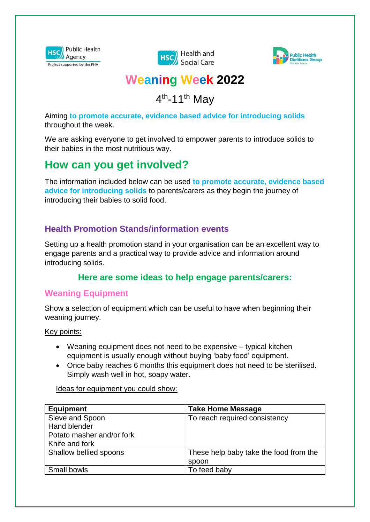





# **Weaning Week 2022**

4<sup>th</sup>-11<sup>th</sup> May

Aiming **to promote accurate, evidence based advice for introducing solids** throughout the week.

We are asking everyone to get involved to empower parents to introduce solids to their babies in the most nutritious way.

# **How can you get involved?**

The information included below can be used **to promote accurate, evidence based advice for introducing solids** to parents/carers as they begin the journey of introducing their babies to solid food.

## **Health Promotion Stands/information events**

Setting up a health promotion stand in your organisation can be an excellent way to engage parents and a practical way to provide advice and information around introducing solids.

## **Here are some ideas to help engage parents/carers:**

#### **Weaning Equipment**

Show a selection of equipment which can be useful to have when beginning their weaning journey.

Key points:

- Weaning equipment does not need to be expensive typical kitchen equipment is usually enough without buying 'baby food' equipment.
- Once baby reaches 6 months this equipment does not need to be sterilised. Simply wash well in hot, soapy water.

Ideas for equipment you could show:

| <b>Equipment</b>          | <b>Take Home Message</b>               |
|---------------------------|----------------------------------------|
| Sieve and Spoon           | To reach required consistency          |
| Hand blender              |                                        |
| Potato masher and/or fork |                                        |
| Knife and fork            |                                        |
| Shallow bellied spoons    | These help baby take the food from the |
|                           | spoon                                  |
| Small bowls               | To feed baby                           |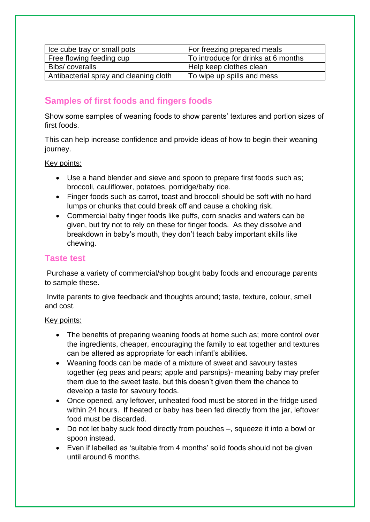| Ice cube tray or small pots            | For freezing prepared meals         |
|----------------------------------------|-------------------------------------|
| Free flowing feeding cup               | To introduce for drinks at 6 months |
| Bibs/coveralls                         | Help keep clothes clean             |
| Antibacterial spray and cleaning cloth | To wipe up spills and mess          |

## **Samples of first foods and fingers foods**

Show some samples of weaning foods to show parents' textures and portion sizes of first foods.

This can help increase confidence and provide ideas of how to begin their weaning journey.

#### Key points:

- Use a hand blender and sieve and spoon to prepare first foods such as; broccoli, cauliflower, potatoes, porridge/baby rice.
- Finger foods such as carrot, toast and broccoli should be soft with no hard lumps or chunks that could break off and cause a choking risk.
- Commercial baby finger foods like puffs, corn snacks and wafers can be given, but try not to rely on these for finger foods. As they dissolve and breakdown in baby's mouth, they don't teach baby important skills like chewing.

#### **Taste test**

Purchase a variety of commercial/shop bought baby foods and encourage parents to sample these.

Invite parents to give feedback and thoughts around; taste, texture, colour, smell and cost.

#### Key points:

- The benefits of preparing weaning foods at home such as; more control over the ingredients, cheaper, encouraging the family to eat together and textures can be altered as appropriate for each infant's abilities.
- Weaning foods can be made of a mixture of sweet and savoury tastes together (eg peas and pears; apple and parsnips)- meaning baby may prefer them due to the sweet taste, but this doesn't given them the chance to develop a taste for savoury foods.
- Once opened, any leftover, unheated food must be stored in the fridge used within 24 hours. If heated or baby has been fed directly from the jar, leftover food must be discarded.
- Do not let baby suck food directly from pouches –, squeeze it into a bowl or spoon instead.
- Even if labelled as 'suitable from 4 months' solid foods should not be given until around 6 months.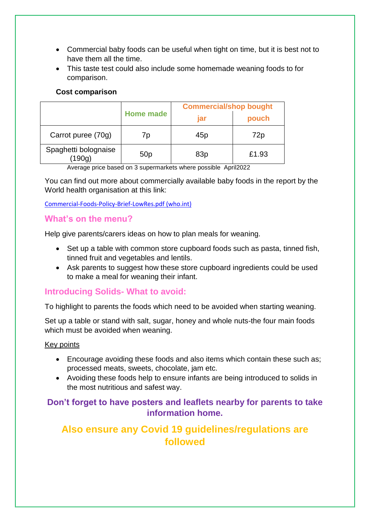- Commercial baby foods can be useful when tight on time, but it is best not to have them all the time.
- This taste test could also include some homemade weaning foods to for comparison.

#### **Cost comparison**

|                                | Home made       | <b>Commercial/shop bought</b> |       |
|--------------------------------|-----------------|-------------------------------|-------|
|                                |                 | jar                           | pouch |
| Carrot puree (70g)             | 70              | 45p                           | 72p   |
| Spaghetti bolognaise<br>(190g) | 50 <sub>p</sub> | 83p                           | £1.93 |

Average price based on 3 supermarkets where possible April2022

You can find out more about commercially available baby foods in the report by the World health organisation at this link:

#### [Commercial-Foods-Policy-Brief-LowRes.pdf \(who.int\)](https://www.euro.who.int/__data/assets/pdf_file/0007/407563/Commercial-Foods-Policy-Brief-LowRes.pdf)

#### **What's on the menu?**

Help give parents/carers ideas on how to plan meals for weaning.

- Set up a table with common store cupboard foods such as pasta, tinned fish, tinned fruit and vegetables and lentils.
- Ask parents to suggest how these store cupboard ingredients could be used to make a meal for weaning their infant.

#### **Introducing Solids- What to avoid:**

To highlight to parents the foods which need to be avoided when starting weaning.

Set up a table or stand with salt, sugar, honey and whole nuts-the four main foods which must be avoided when weaning.

#### Key points

- Encourage avoiding these foods and also items which contain these such as; processed meats, sweets, chocolate, jam etc.
- Avoiding these foods help to ensure infants are being introduced to solids in the most nutritious and safest way.

## **Don't forget to have posters and leaflets nearby for parents to take information home.**

# **Also ensure any Covid 19 guidelines/regulations are followed**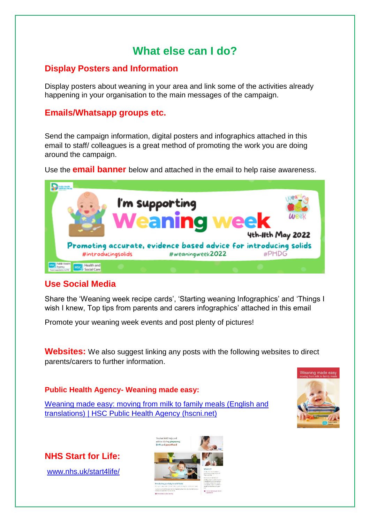# **What else can I do?**

## **Display Posters and Information**

Display posters about weaning in your area and link some of the activities already happening in your organisation to the main messages of the campaign.

### **Emails/Whatsapp groups etc.**

Send the campaign information, digital posters and infographics attached in this email to staff/ colleagues is a great method of promoting the work you are doing around the campaign.

Use the **email banner** below and attached in the email to help raise awareness.



## **Use Social Media**

Share the 'Weaning week recipe cards', 'Starting weaning Infographics' and 'Things I wish I knew, Top tips from parents and carers infographics' attached in this email

Promote your weaning week events and post plenty of pictures!

**Websites:** We also suggest linking any posts with the following websites to direct parents/carers to further information.

#### **Public Health Agency- Weaning made easy:**

[Weaning made easy: moving from milk to family meals \(English and](https://www.publichealth.hscni.net/publications/weaning-made-easy-moving-milk-family-meals-english-and-translations)  [translations\) | HSC Public Health Agency \(hscni.net\)](https://www.publichealth.hscni.net/publications/weaning-made-easy-moving-milk-family-meals-english-and-translations)



**NHS Start for Life:**

[www.nhs.uk/start4life/](http://www.nhs.uk/start4life/)